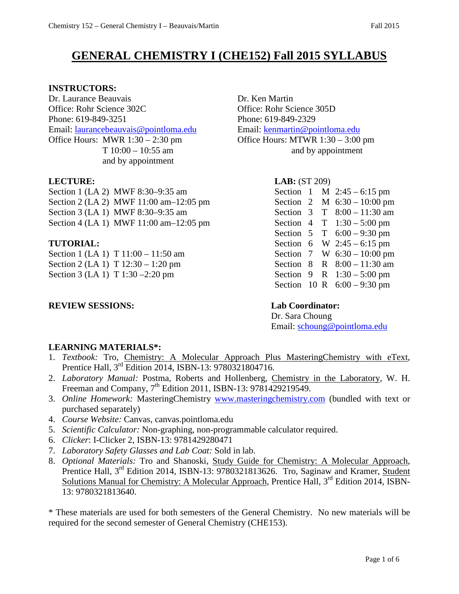# **GENERAL CHEMISTRY I (CHE152) Fall 2015 SYLLABUS**

#### **INSTRUCTORS:**

Dr. Laurance Beauvais Dr. Ken Martin Office: Rohr Science 302C Office: Rohr Science 305D Phone: 619-849-3251 Phone: 619-849-2329 Email: [laurancebeauvais@pointloma.edu](mailto:laurancebeauvais@pointloma.edu) Email: [kenmartin@pointloma.edu](mailto:kenmartin@pointloma.edu) Office Hours: MWR 1:30 – 2:30 pm Office Hours: MTWR 1:30 – 3:00 pm and by appointment

Section 1 (LA 2) MWF 8:30–9:35 am Section 2 (LA 2) MWF  $11:00$  am $-12:05$  pm Section 3 (LA 1) MWF 8:30-9:35 am Section 4 (LA 1) MWF  $11:00$  am $-12:05$  pm

### $TUTORIAL:$

Section 1 (LA 1) T  $11:00 - 11:50$  am Section 2 (LA 1) T  $12:30 - 1:20$  pm Section 3 (LA 1) T  $1:30 - 2:20$  pm

### **REVIEW SESSIONS: Lab Coordinator:**

 $T 10:00 - 10:55$  am and by appointment

#### **LECTURE: LAB:** (ST 209)

| Section |   |   | $M$ 2:45 – 6:15 pm    |
|---------|---|---|-----------------------|
| Section | 2 |   | M $6:30 - 10:00$ pm   |
| Section | 3 | T | $8:00 - 11:30$ am     |
| Section | 4 |   | $T = 1:30 - 5:00$ pm  |
| Section | 5 | T | $6:00 - 9:30$ pm      |
| Section | 6 |   | W $2:45-6:15$ pm      |
| Section | 7 |   | W $6:30 - 10:00$ pm   |
| Section | 8 |   | R $8:00-11:30$ am     |
| Section | 9 |   | R $1:30 - 5:00$ pm    |
| Section |   |   | 10 R $6:00 - 9:30$ pm |

Dr. Sara Choung Email: [schoung@pointloma.edu](mailto:schoung@pointloma.edu)

### **LEARNING MATERIALS\*:**

- 1. *Textbook:* Tro, Chemistry: A Molecular Approach Plus MasteringChemistry with eText, Prentice Hall, 3<sup>rd</sup> Edition 2014, ISBN-13: 9780321804716.
- 2. *Laboratory Manual:* Postma, Roberts and Hollenberg, Chemistry in the Laboratory, W. H. Freeman and Company, 7<sup>th</sup> Edition 2011, ISBN-13: 9781429219549.
- 3. *Online Homework:* MasteringChemistry [www.masteringchemistry.com](http://www.masteringchemistry.com/) (bundled with text or purchased separately)
- 4. *Course Website:* Canvas, canvas.pointloma.edu
- 5. *Scientific Calculator:* Non-graphing, non-programmable calculator required.
- 6. *Clicker*: I-Clicker 2, ISBN-13: 9781429280471
- 7. *Laboratory Safety Glasses and Lab Coat:* Sold in lab.
- 8. *Optional Materials:* Tro and Shanoski, Study Guide for Chemistry: A Molecular Approach, Prentice Hall, 3<sup>rd</sup> Edition 2014, ISBN-13: 9780321813626. Tro, Saginaw and Kramer, Student Solutions Manual for Chemistry: A Molecular Approach, Prentice Hall, 3<sup>rd</sup> Edition 2014, ISBN-13: 9780321813640.

\* These materials are used for both semesters of the General Chemistry. No new materials will be required for the second semester of General Chemistry (CHE153).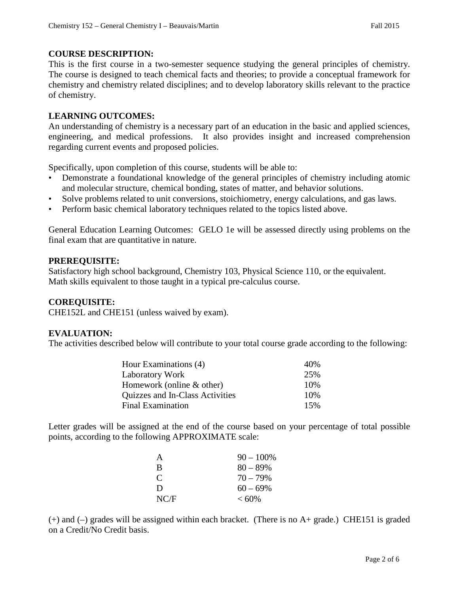#### **COURSE DESCRIPTION:**

This is the first course in a two-semester sequence studying the general principles of chemistry. The course is designed to teach chemical facts and theories; to provide a conceptual framework for chemistry and chemistry related disciplines; and to develop laboratory skills relevant to the practice of chemistry.

#### **LEARNING OUTCOMES:**

An understanding of chemistry is a necessary part of an education in the basic and applied sciences, engineering, and medical professions. It also provides insight and increased comprehension regarding current events and proposed policies.

Specifically, upon completion of this course, students will be able to:

- Demonstrate a foundational knowledge of the general principles of chemistry including atomic and molecular structure, chemical bonding, states of matter, and behavior solutions.
- Solve problems related to unit conversions, stoichiometry, energy calculations, and gas laws.
- Perform basic chemical laboratory techniques related to the topics listed above.

General Education Learning Outcomes: GELO 1e will be assessed directly using problems on the final exam that are quantitative in nature.

#### **PREREQUISITE:**

Satisfactory high school background, Chemistry 103, Physical Science 110, or the equivalent. Math skills equivalent to those taught in a typical pre-calculus course.

#### **COREQUISITE:**

CHE152L and CHE151 (unless waived by exam).

#### **EVALUATION:**

The activities described below will contribute to your total course grade according to the following:

| Hour Examinations (4)           | 40\% |
|---------------------------------|------|
| <b>Laboratory Work</b>          | 25%  |
| Homework (online $&$ other)     | 10%  |
| Quizzes and In-Class Activities | 10%  |
| Final Examination               | 15%  |

Letter grades will be assigned at the end of the course based on your percentage of total possible points, according to the following APPROXIMATE scale:

| A             | $90 - 100\%$ |
|---------------|--------------|
| B             | $80 - 89\%$  |
| $\mathcal{C}$ | $70 - 79\%$  |
| D             | $60 - 69\%$  |
| NC/F          | $< 60\%$     |

(+) and (–) grades will be assigned within each bracket. (There is no A+ grade.) CHE151 is graded on a Credit/No Credit basis.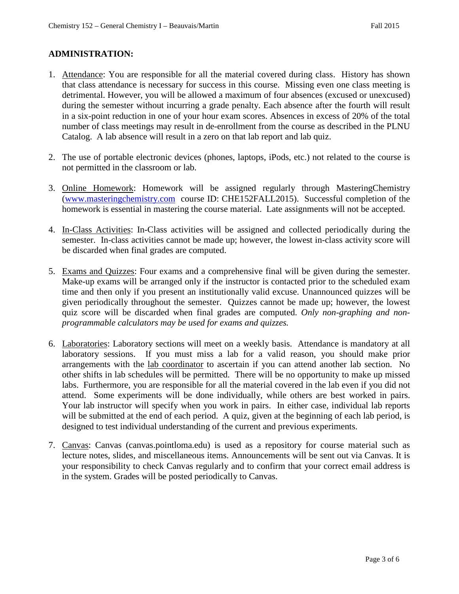#### **ADMINISTRATION:**

- 1. Attendance: You are responsible for all the material covered during class. History has shown that class attendance is necessary for success in this course. Missing even one class meeting is detrimental. However, you will be allowed a maximum of four absences (excused or unexcused) during the semester without incurring a grade penalty. Each absence after the fourth will result in a six-point reduction in one of your hour exam scores. Absences in excess of 20% of the total number of class meetings may result in de-enrollment from the course as described in the PLNU Catalog. A lab absence will result in a zero on that lab report and lab quiz.
- 2. The use of portable electronic devices (phones, laptops, iPods, etc.) not related to the course is not permitted in the classroom or lab.
- 3. Online Homework: Homework will be assigned regularly through MasteringChemistry [\(www.masteringchemistry.com](http://www.masteringchemistry.com/) course ID: CHE152FALL2015). Successful completion of the homework is essential in mastering the course material. Late assignments will not be accepted.
- 4. In-Class Activities: In-Class activities will be assigned and collected periodically during the semester. In-class activities cannot be made up; however, the lowest in-class activity score will be discarded when final grades are computed.
- 5. Exams and Quizzes: Four exams and a comprehensive final will be given during the semester. Make-up exams will be arranged only if the instructor is contacted prior to the scheduled exam time and then only if you present an institutionally valid excuse. Unannounced quizzes will be given periodically throughout the semester. Quizzes cannot be made up; however, the lowest quiz score will be discarded when final grades are computed. *Only non-graphing and nonprogrammable calculators may be used for exams and quizzes.*
- 6. Laboratories: Laboratory sections will meet on a weekly basis. Attendance is mandatory at all laboratory sessions. If you must miss a lab for a valid reason, you should make prior arrangements with the lab coordinator to ascertain if you can attend another lab section. No other shifts in lab schedules will be permitted. There will be no opportunity to make up missed labs. Furthermore, you are responsible for all the material covered in the lab even if you did not attend. Some experiments will be done individually, while others are best worked in pairs. Your lab instructor will specify when you work in pairs. In either case, individual lab reports will be submitted at the end of each period. A quiz, given at the beginning of each lab period, is designed to test individual understanding of the current and previous experiments.
- 7. Canvas: Canvas (canvas.pointloma.edu) is used as a repository for course material such as lecture notes, slides, and miscellaneous items. Announcements will be sent out via Canvas. It is your responsibility to check Canvas regularly and to confirm that your correct email address is in the system. Grades will be posted periodically to Canvas.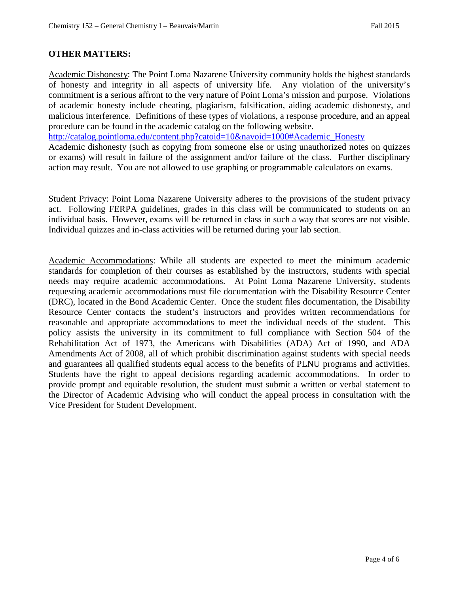#### **OTHER MATTERS:**

Academic Dishonesty: The Point Loma Nazarene University community holds the highest standards of honesty and integrity in all aspects of university life. Any violation of the university's commitment is a serious affront to the very nature of Point Loma's mission and purpose. Violations of academic honesty include cheating, plagiarism, falsification, aiding academic dishonesty, and malicious interference. Definitions of these types of violations, a response procedure, and an appeal procedure can be found in the academic catalog on the following website.

[http://catalog.pointloma.edu/content.php?catoid=10&navoid=1000#Academic\\_Honesty](http://catalog.pointloma.edu/content.php?catoid=10&navoid=1000#Academic_Honesty)

Academic dishonesty (such as copying from someone else or using unauthorized notes on quizzes or exams) will result in failure of the assignment and/or failure of the class. Further disciplinary action may result. You are not allowed to use graphing or programmable calculators on exams.

Student Privacy: Point Loma Nazarene University adheres to the provisions of the student privacy act. Following FERPA guidelines, grades in this class will be communicated to students on an individual basis. However, exams will be returned in class in such a way that scores are not visible. Individual quizzes and in-class activities will be returned during your lab section.

Academic Accommodations: While all students are expected to meet the minimum academic standards for completion of their courses as established by the instructors, students with special needs may require academic accommodations. At Point Loma Nazarene University, students requesting academic accommodations must file documentation with the Disability Resource Center (DRC), located in the Bond Academic Center. Once the student files documentation, the Disability Resource Center contacts the student's instructors and provides written recommendations for reasonable and appropriate accommodations to meet the individual needs of the student. This policy assists the university in its commitment to full compliance with Section 504 of the Rehabilitation Act of 1973, the Americans with Disabilities (ADA) Act of 1990, and ADA Amendments Act of 2008, all of which prohibit discrimination against students with special needs and guarantees all qualified students equal access to the benefits of PLNU programs and activities. Students have the right to appeal decisions regarding academic accommodations. In order to provide prompt and equitable resolution, the student must submit a written or verbal statement to the Director of Academic Advising who will conduct the appeal process in consultation with the Vice President for Student Development.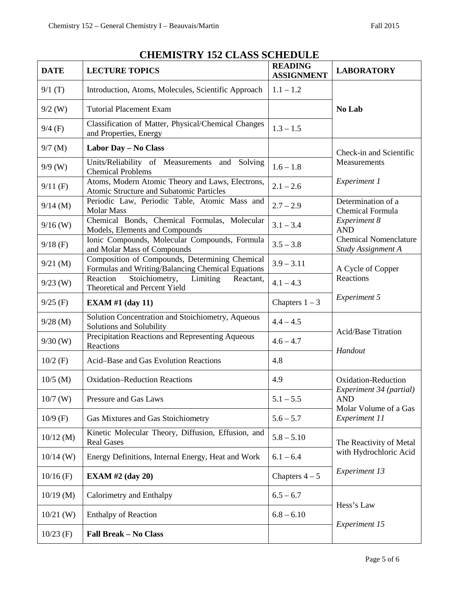| <b>DATE</b> | <b>LECTURE TOPICS</b>                                                                               | <b>READING</b><br><b>ASSIGNMENT</b> | <b>LABORATORY</b>                                                                                      |  |
|-------------|-----------------------------------------------------------------------------------------------------|-------------------------------------|--------------------------------------------------------------------------------------------------------|--|
| 9/1(T)      | Introduction, Atoms, Molecules, Scientific Approach                                                 | $1.1 - 1.2$                         |                                                                                                        |  |
| $9/2$ (W)   | <b>Tutorial Placement Exam</b>                                                                      |                                     | No Lab                                                                                                 |  |
| $9/4$ (F)   | Classification of Matter, Physical/Chemical Changes<br>and Properties, Energy                       | $1.3 - 1.5$                         |                                                                                                        |  |
| $9/7$ (M)   | Labor Day - No Class                                                                                |                                     | Check-in and Scientific<br>Measurements<br>Experiment 1                                                |  |
| $9/9$ (W)   | Units/Reliability of Measurements and Solving<br><b>Chemical Problems</b>                           | $1.6 - 1.8$                         |                                                                                                        |  |
| $9/11$ (F)  | Atoms, Modern Atomic Theory and Laws, Electrons,<br>Atomic Structure and Subatomic Particles        | $2.1 - 2.6$                         |                                                                                                        |  |
| $9/14$ (M)  | Periodic Law, Periodic Table, Atomic Mass and<br><b>Molar Mass</b>                                  | $2.7 - 2.9$                         | Determination of a<br><b>Chemical Formula</b>                                                          |  |
| $9/16$ (W)  | Chemical Bonds, Chemical Formulas, Molecular<br>Models, Elements and Compounds                      | $3.1 - 3.4$                         | <b>Experiment 8</b><br><b>AND</b><br><b>Chemical Nomenclature</b><br>Study Assignment A                |  |
| $9/18$ (F)  | Ionic Compounds, Molecular Compounds, Formula<br>and Molar Mass of Compounds                        | $3.5 - 3.8$                         |                                                                                                        |  |
| $9/21$ (M)  | Composition of Compounds, Determining Chemical<br>Formulas and Writing/Balancing Chemical Equations | $3.9 - 3.11$                        | A Cycle of Copper<br>Reactions                                                                         |  |
| $9/23$ (W)  | Stoichiometry,<br>Reaction<br>Limiting<br>Reactant,<br>Theoretical and Percent Yield                | $4.1 - 4.3$                         |                                                                                                        |  |
| $9/25$ (F)  | <b>EXAM #1 (day 11)</b>                                                                             | Chapters $1 - 3$                    | Experiment 5                                                                                           |  |
| $9/28$ (M)  | Solution Concentration and Stoichiometry, Aqueous<br>Solutions and Solubility                       | $4.4 - 4.5$                         | <b>Acid/Base Titration</b><br>Handout                                                                  |  |
| $9/30$ (W)  | Precipitation Reactions and Representing Aqueous<br>Reactions                                       | $4.6 - 4.7$                         |                                                                                                        |  |
| $10/2$ (F)  | Acid-Base and Gas Evolution Reactions                                                               | 4.8                                 |                                                                                                        |  |
| $10/5$ (M)  | <b>Oxidation-Reduction Reactions</b>                                                                | 4.9                                 | Oxidation-Reduction<br>Experiment 34 (partial)<br>AND<br>Molar Volume of a Gas<br><b>Experiment 11</b> |  |
| $10/7$ (W)  | Pressure and Gas Laws                                                                               | $5.1 - 5.5$                         |                                                                                                        |  |
| $10/9$ (F)  | Gas Mixtures and Gas Stoichiometry                                                                  | $5.6 - 5.7$                         |                                                                                                        |  |
| $10/12$ (M) | Kinetic Molecular Theory, Diffusion, Effusion, and<br><b>Real Gases</b>                             | $5.8 - 5.10$                        | The Reactivity of Metal<br>with Hydrochloric Acid                                                      |  |
| $10/14$ (W) | Energy Definitions, Internal Energy, Heat and Work                                                  | $6.1 - 6.4$                         |                                                                                                        |  |
| $10/16$ (F) | EXAM #2 $(\text{day } 20)$                                                                          | Chapters $4-5$                      | <b>Experiment 13</b>                                                                                   |  |
| $10/19$ (M) | Calorimetry and Enthalpy<br>$6.5 - 6.7$                                                             |                                     | Hess's Law                                                                                             |  |
| $10/21$ (W) | <b>Enthalpy of Reaction</b>                                                                         | $6.8 - 6.10$                        | <b>Experiment 15</b>                                                                                   |  |
| $10/23$ (F) | <b>Fall Break - No Class</b>                                                                        |                                     |                                                                                                        |  |

## **CHEMISTRY 152 CLASS SCHEDULE**